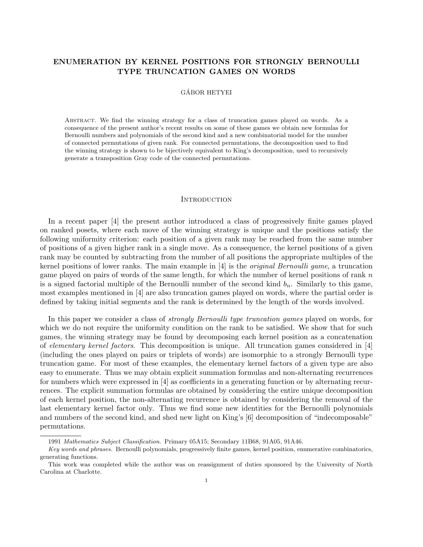# ENUMERATION BY KERNEL POSITIONS FOR STRONGLY BERNOULLI TYPE TRUNCATION GAMES ON WORDS

# GÁBOR HETYEI

Abstract. We find the winning strategy for a class of truncation games played on words. As a consequence of the present author's recent results on some of these games we obtain new formulas for Bernoulli numbers and polynomials of the second kind and a new combinatorial model for the number of connected permutations of given rank. For connected permutations, the decomposition used to find the winning strategy is shown to be bijectively equivalent to King's decomposition, used to recursively generate a transposition Gray code of the connected permutations.

#### INTRODUCTION

In a recent paper [4] the present author introduced a class of progressively finite games played on ranked posets, where each move of the winning strategy is unique and the positions satisfy the following uniformity criterion: each position of a given rank may be reached from the same number of positions of a given higher rank in a single move. As a consequence, the kernel positions of a given rank may be counted by subtracting from the number of all positions the appropriate multiples of the kernel positions of lower ranks. The main example in [4] is the original Bernoulli game, a truncation game played on pairs of words of the same length, for which the number of kernel positions of rank  $n$ is a signed factorial multiple of the Bernoulli number of the second kind  $b_n$ . Similarly to this game, most examples mentioned in [4] are also truncation games played on words, where the partial order is defined by taking initial segments and the rank is determined by the length of the words involved.

In this paper we consider a class of *strongly Bernoulli type truncation games* played on words, for which we do not require the uniformity condition on the rank to be satisfied. We show that for such games, the winning strategy may be found by decomposing each kernel position as a concatenation of elementary kernel factors. This decomposition is unique. All truncation games considered in [4] (including the ones played on pairs or triplets of words) are isomorphic to a strongly Bernoulli type truncation game. For most of these examples, the elementary kernel factors of a given type are also easy to enumerate. Thus we may obtain explicit summation formulas and non-alternating recurrences for numbers which were expressed in [4] as coefficients in a generating function or by alternating recurrences. The explicit summation formulas are obtained by considering the entire unique decomposition of each kernel position, the non-alternating recurrence is obtained by considering the removal of the last elementary kernel factor only. Thus we find some new identities for the Bernoulli polynomials and numbers of the second kind, and shed new light on King's [6] decomposition of "indecomposable" permutations.

<sup>1991</sup> Mathematics Subject Classification. Primary 05A15; Secondary 11B68, 91A05, 91A46.

Key words and phrases. Bernoulli polynomials, progressively finite games, kernel position, enumerative combinatorics, generating functions.

This work was completed while the author was on reassignment of duties sponsored by the University of North Carolina at Charlotte.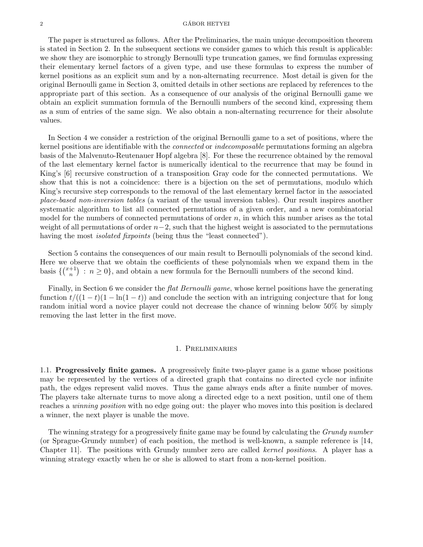### $\alpha$  GÁBOR HETYEI

The paper is structured as follows. After the Preliminaries, the main unique decomposition theorem is stated in Section 2. In the subsequent sections we consider games to which this result is applicable: we show they are isomorphic to strongly Bernoulli type truncation games, we find formulas expressing their elementary kernel factors of a given type, and use these formulas to express the number of kernel positions as an explicit sum and by a non-alternating recurrence. Most detail is given for the original Bernoulli game in Section 3, omitted details in other sections are replaced by references to the appropriate part of this section. As a consequence of our analysis of the original Bernoulli game we obtain an explicit summation formula of the Bernoulli numbers of the second kind, expressing them as a sum of entries of the same sign. We also obtain a non-alternating recurrence for their absolute values.

In Section 4 we consider a restriction of the original Bernoulli game to a set of positions, where the kernel positions are identifiable with the connected or indecomposable permutations forming an algebra basis of the Malvenuto-Reutenauer Hopf algebra [8]. For these the recurrence obtained by the removal of the last elementary kernel factor is numerically identical to the recurrence that may be found in King's [6] recursive construction of a transposition Gray code for the connected permutations. We show that this is not a coincidence: there is a bijection on the set of permutations, modulo which King's recursive step corresponds to the removal of the last elementary kernel factor in the associated place-based non-inversion tables (a variant of the usual inversion tables). Our result inspires another systematic algorithm to list all connected permutations of a given order, and a new combinatorial model for the numbers of connected permutations of order  $n$ , in which this number arises as the total weight of all permutations of order  $n-2$ , such that the highest weight is associated to the permutations having the most *isolated fixpoints* (being thus the "least connected").

Section 5 contains the consequences of our main result to Bernoulli polynomials of the second kind. Here we observe that we obtain the coefficients of these polynomials when we expand them in the basis  $\binom{x+1}{n}$  $\binom{+1}{n}$ :  $n \geq 0$ , and obtain a new formula for the Bernoulli numbers of the second kind.

Finally, in Section 6 we consider the *flat Bernoulli game*, whose kernel positions have the generating function  $t/((1-t)(1-\ln(1-t))$  and conclude the section with an intriguing conjecture that for long random initial word a novice player could not decrease the chance of winning below 50% by simply removing the last letter in the first move.

### 1. Preliminaries

1.1. Progressively finite games. A progressively finite two-player game is a game whose positions may be represented by the vertices of a directed graph that contains no directed cycle nor infinite path, the edges represent valid moves. Thus the game always ends after a finite number of moves. The players take alternate turns to move along a directed edge to a next position, until one of them reaches a winning position with no edge going out: the player who moves into this position is declared a winner, the next player is unable the move.

The winning strategy for a progressively finite game may be found by calculating the *Grundy number* (or Sprague-Grundy number) of each position, the method is well-known, a sample reference is [14, Chapter 11]. The positions with Grundy number zero are called kernel positions. A player has a winning strategy exactly when he or she is allowed to start from a non-kernel position.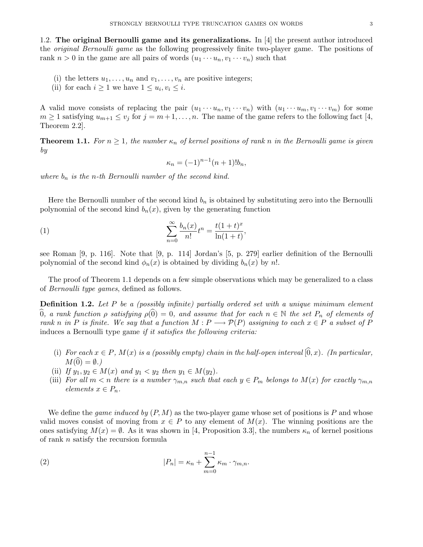1.2. The original Bernoulli game and its generalizations. In [4] the present author introduced the original Bernoulli game as the following progressively finite two-player game. The positions of rank  $n > 0$  in the game are all pairs of words  $(u_1 \cdots u_n, v_1 \cdots v_n)$  such that

- (i) the letters  $u_1, \ldots, u_n$  and  $v_1, \ldots, v_n$  are positive integers;
- (ii) for each  $i \geq 1$  we have  $1 \leq u_i, v_i \leq i$ .

A valid move consists of replacing the pair  $(u_1 \cdots u_n, v_1 \cdots v_n)$  with  $(u_1 \cdots u_m, v_1 \cdots v_m)$  for some  $m \geq 1$  satisfying  $u_{m+1} \leq v_j$  for  $j = m+1, \ldots, n$ . The name of the game refers to the following fact [4, Theorem 2.2].

**Theorem 1.1.** For  $n \geq 1$ , the number  $\kappa_n$  of kernel positions of rank n in the Bernoulli game is given by

$$
\kappa_n = (-1)^{n-1}(n+1)!b_n,
$$

where  $b_n$  is the n-th Bernoulli number of the second kind.

Here the Bernoulli number of the second kind  $b_n$  is obtained by substituting zero into the Bernoulli polynomial of the second kind  $b_n(x)$ , given by the generating function

(1) 
$$
\sum_{n=0}^{\infty} \frac{b_n(x)}{n!} t^n = \frac{t(1+t)^x}{\ln(1+t)},
$$

see Roman [9, p. 116]. Note that [9, p. 114] Jordan's [5, p. 279] earlier definition of the Bernoulli polynomial of the second kind  $\phi_n(x)$  is obtained by dividing  $b_n(x)$  by n!.

The proof of Theorem 1.1 depends on a few simple observations which may be generalized to a class of Bernoulli type games, defined as follows.

**Definition 1.2.** Let P be a (possibly infinite) partially ordered set with a unique minimum element  $\widehat{0}$ , a rank function  $\rho$  satisfying  $\rho(\widehat{0}) = 0$ , and assume that for each  $n \in \mathbb{N}$  the set  $P_n$  of elements of rank n in P is finite. We say that a function  $M : P \longrightarrow \mathcal{P}(P)$  assigning to each  $x \in P$  a subset of P induces a Bernoulli type game if it satisfies the following criteria:

- (i) For each  $x \in P$ ,  $M(x)$  is a (possibly empty) chain in the half-open interval  $[0, x)$ . (In particular,  $M(\hat{0}) = \emptyset.$
- (ii) If  $y_1, y_2 \in M(x)$  and  $y_1 < y_2$  then  $y_1 \in M(y_2)$ .
- (iii) For all  $m < n$  there is a number  $\gamma_{m,n}$  such that each  $y \in P_m$  belongs to  $M(x)$  for exactly  $\gamma_{m,n}$ elements  $x \in P_n$ .

We define the *game induced by*  $(P, M)$  as the two-player game whose set of positions is P and whose valid moves consist of moving from  $x \in P$  to any element of  $M(x)$ . The winning positions are the ones satisfying  $M(x) = \emptyset$ . As it was shown in [4, Proposition 3.3], the numbers  $\kappa_n$  of kernel positions of rank n satisfy the recursion formula

(2) 
$$
|P_n| = \kappa_n + \sum_{m=0}^{n-1} \kappa_m \cdot \gamma_{m,n}.
$$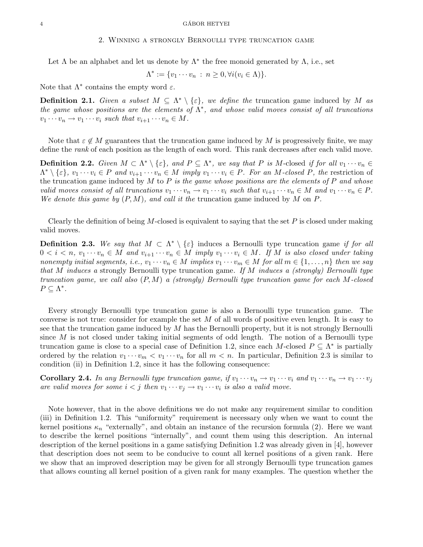### 2. Winning a strongly Bernoulli type truncation game

Let  $\Lambda$  be an alphabet and let us denote by  $\Lambda^*$  the free monoid generated by  $\Lambda$ , i.e., set

$$
\Lambda^* := \{v_1 \cdots v_n : n \ge 0, \forall i (v_i \in \Lambda)\}.
$$

Note that  $\Lambda^*$  contains the empty word  $\varepsilon$ .

**Definition 2.1.** Given a subset  $M \subseteq \Lambda^* \setminus \{\varepsilon\}$ , we define the truncation game induced by M as the game whose positions are the elements of  $\Lambda^*$ , and whose valid moves consist of all truncations  $v_1 \cdots v_n \to v_1 \cdots v_i$  such that  $v_{i+1} \cdots v_n \in M$ .

Note that  $\varepsilon \notin M$  guarantees that the truncation game induced by M is progressively finite, we may define the rank of each position as the length of each word. This rank decreases after each valid move.

**Definition 2.2.** Given  $M \subset \Lambda^* \setminus \{\varepsilon\}$ , and  $P \subseteq \Lambda^*$ , we say that P is M-closed if for all  $v_1 \cdots v_n \in$  $\Lambda^* \setminus \{\varepsilon\}, v_1 \cdots v_i \in P$  and  $v_{i+1} \cdots v_n \in M$  imply  $v_1 \cdots v_i \in P$ . For an M-closed P, the restriction of the truncation game induced by  $M$  to  $P$  is the game whose positions are the elements of  $P$  and whose valid moves consist of all truncations  $v_1 \cdots v_n \to v_1 \cdots v_i$  such that  $v_{i+1} \cdots v_n \in M$  and  $v_1 \cdots v_n \in P$ . We denote this game by  $(P, M)$ , and call it the truncation game induced by M on P.

Clearly the definition of being M-closed is equivalent to saying that the set  $P$  is closed under making valid moves.

**Definition 2.3.** We say that  $M \subset \Lambda^* \setminus \{\varepsilon\}$  induces a Bernoulli type truncation game if for all  $0 < i < n$ ,  $v_1 \cdots v_n \in M$  and  $v_{i+1} \cdots v_n \in M$  imply  $v_1 \cdots v_i \in M$ . If M is also closed under taking nonempty initial segments, i.e.,  $v_1 \cdots v_n \in M$  implies  $v_1 \cdots v_m \in M$  for all  $m \in \{1, \ldots, n\}$  then we say that M induces a strongly Bernoulli type truncation game. If M induces a (strongly) Bernoulli type truncation game, we call also  $(P, M)$  a (strongly) Bernoulli type truncation game for each M-closed  $P \subseteq \Lambda^*$ .

Every strongly Bernoulli type truncation game is also a Bernoulli type truncation game. The converse is not true: consider for example the set  $M$  of all words of positive even length. It is easy to see that the truncation game induced by  $M$  has the Bernoulli property, but it is not strongly Bernoulli since  $M$  is not closed under taking initial segments of odd length. The notion of a Bernoulli type truncation game is close to a special case of Definition 1.2, since each M-closed  $P \subseteq \Lambda^*$  is partially ordered by the relation  $v_1 \cdots v_m < v_1 \cdots v_n$  for all  $m < n$ . In particular, Definition 2.3 is similar to condition (ii) in Definition 1.2, since it has the following consequence:

**Corollary 2.4.** In any Bernoulli type truncation game, if  $v_1 \cdots v_n \to v_1 \cdots v_i$  and  $v_1 \cdots v_n \to v_1 \cdots v_j$ are valid moves for some  $i < j$  then  $v_1 \cdots v_j \rightarrow v_1 \cdots v_i$  is also a valid move.

Note however, that in the above definitions we do not make any requirement similar to condition (iii) in Definition 1.2. This "uniformity" requirement is necessary only when we want to count the kernel positions  $\kappa_n$  "externally", and obtain an instance of the recursion formula (2). Here we want to describe the kernel positions "internally", and count them using this description. An internal description of the kernel positions in a game satisfying Definition 1.2 was already given in [4], however that description does not seem to be conducive to count all kernel positions of a given rank. Here we show that an improved description may be given for all strongly Bernoulli type truncation games that allows counting all kernel position of a given rank for many examples. The question whether the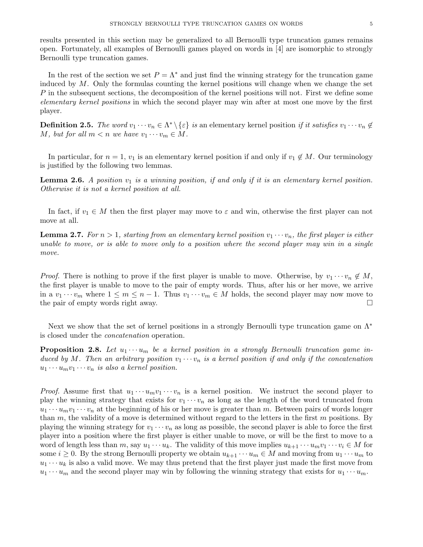results presented in this section may be generalized to all Bernoulli type truncation games remains open. Fortunately, all examples of Bernoulli games played on words in [4] are isomorphic to strongly Bernoulli type truncation games.

In the rest of the section we set  $P = \Lambda^*$  and just find the winning strategy for the truncation game induced by  $M$ . Only the formulas counting the kernel positions will change when we change the set P in the subsequent sections, the decomposition of the kernel positions will not. First we define some elementary kernel positions in which the second player may win after at most one move by the first player.

**Definition 2.5.** The word  $v_1 \cdots v_n \in \Lambda^* \setminus \{\varepsilon\}$  is an elementary kernel position if it satisfies  $v_1 \cdots v_n \notin \Lambda^*$ M, but for all  $m < n$  we have  $v_1 \cdots v_m \in M$ .

In particular, for  $n = 1$ ,  $v_1$  is an elementary kernel position if and only if  $v_1 \notin M$ . Our terminology is justified by the following two lemmas.

**Lemma 2.6.** A position  $v_1$  is a winning position, if and only if it is an elementary kernel position. Otherwise it is not a kernel position at all.

In fact, if  $v_1 \in M$  then the first player may move to  $\varepsilon$  and win, otherwise the first player can not move at all.

**Lemma 2.7.** For  $n > 1$ , starting from an elementary kernel position  $v_1 \cdots v_n$ , the first player is either unable to move, or is able to move only to a position where the second player may win in a single move.

*Proof.* There is nothing to prove if the first player is unable to move. Otherwise, by  $v_1 \cdots v_n \notin M$ , the first player is unable to move to the pair of empty words. Thus, after his or her move, we arrive in a  $v_1 \cdots v_m$  where  $1 \leq m \leq n-1$ . Thus  $v_1 \cdots v_m \in M$  holds, the second player may now move to the pair of empty words right away.

Next we show that the set of kernel positions in a strongly Bernoulli type truncation game on  $\Lambda^*$ is closed under the concatenation operation.

**Proposition 2.8.** Let  $u_1 \cdots u_m$  be a kernel position in a strongly Bernoulli truncation game induced by M. Then an arbitrary position  $v_1 \cdots v_n$  is a kernel position if and only if the concatenation  $u_1 \cdots u_m v_1 \cdots v_n$  is also a kernel position.

*Proof.* Assume first that  $u_1 \cdots u_m v_1 \cdots v_n$  is a kernel position. We instruct the second player to play the winning strategy that exists for  $v_1 \cdots v_n$  as long as the length of the word truncated from  $u_1 \cdots u_m v_1 \cdots v_n$  at the beginning of his or her move is greater than m. Between pairs of words longer than  $m$ , the validity of a move is determined without regard to the letters in the first  $m$  positions. By playing the winning strategy for  $v_1 \cdots v_n$  as long as possible, the second player is able to force the first player into a position where the first player is either unable to move, or will be the first to move to a word of length less than m, say  $u_1 \cdots u_k$ . The validity of this move implies  $u_{k+1} \cdots u_m v_1 \cdots v_i \in M$  for some  $i \geq 0$ . By the strong Bernoulli property we obtain  $u_{k+1} \cdots u_m \in M$  and moving from  $u_1 \cdots u_m$  to  $u_1 \cdots u_k$  is also a valid move. We may thus pretend that the first player just made the first move from  $u_1 \cdots u_m$  and the second player may win by following the winning strategy that exists for  $u_1 \cdots u_m$ .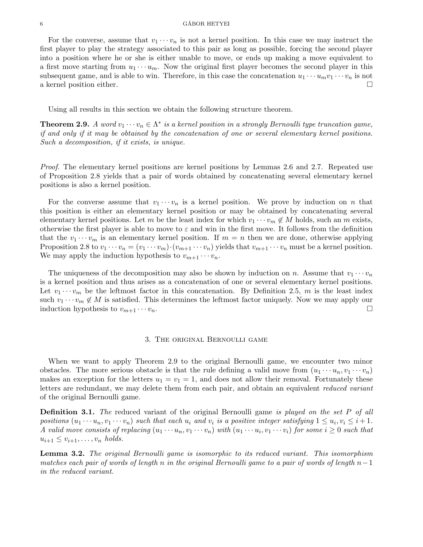#### $6 \rightarrow$  GÁBOR HETYEI

For the converse, assume that  $v_1 \cdots v_n$  is not a kernel position. In this case we may instruct the first player to play the strategy associated to this pair as long as possible, forcing the second player into a position where he or she is either unable to move, or ends up making a move equivalent to a first move starting from  $u_1 \cdots u_m$ . Now the original first player becomes the second player in this subsequent game, and is able to win. Therefore, in this case the concatenation  $u_1 \cdots u_m v_1 \cdots v_n$  is not a kernel position either.

Using all results in this section we obtain the following structure theorem.

**Theorem 2.9.** A word  $v_1 \cdots v_n \in \Lambda^*$  is a kernel position in a strongly Bernoulli type truncation game, if and only if it may be obtained by the concatenation of one or several elementary kernel positions. Such a decomposition, if it exists, is unique.

Proof. The elementary kernel positions are kernel positions by Lemmas 2.6 and 2.7. Repeated use of Proposition 2.8 yields that a pair of words obtained by concatenating several elementary kernel positions is also a kernel position.

For the converse assume that  $v_1 \cdots v_n$  is a kernel position. We prove by induction on n that this position is either an elementary kernel position or may be obtained by concatenating several elementary kernel positions. Let m be the least index for which  $v_1 \cdots v_m \notin M$  holds, such an m exists, otherwise the first player is able to move to  $\varepsilon$  and win in the first move. It follows from the definition that the  $v_1 \cdots v_m$  is an elementary kernel position. If  $m = n$  then we are done, otherwise applying Proposition 2.8 to  $v_1 \cdots v_n = (v_1 \cdots v_m) \cdot (v_{m+1} \cdots v_n)$  yields that  $v_{m+1} \cdots v_n$  must be a kernel position. We may apply the induction hypothesis to  $v_{m+1} \cdots v_n$ .

The uniqueness of the decomposition may also be shown by induction on n. Assume that  $v_1 \cdots v_n$ is a kernel position and thus arises as a concatenation of one or several elementary kernel positions. Let  $v_1 \cdots v_m$  be the leftmost factor in this concatenation. By Definition 2.5, m is the least index such  $v_1 \cdots v_m \notin M$  is satisfied. This determines the leftmost factor uniquely. Now we may apply our induction hypothesis to  $v_{m+1} \cdots v_n$ .

#### 3. The original Bernoulli game

When we want to apply Theorem 2.9 to the original Bernoulli game, we encounter two minor obstacles. The more serious obstacle is that the rule defining a valid move from  $(u_1 \cdots u_n, v_1 \cdots v_n)$ makes an exception for the letters  $u_1 = v_1 = 1$ , and does not allow their removal. Fortunately these letters are redundant, we may delete them from each pair, and obtain an equivalent reduced variant of the original Bernoulli game.

**Definition 3.1.** The reduced variant of the original Bernoulli game is played on the set P of all positions  $(u_1 \cdots u_n, v_1 \cdots v_n)$  such that each  $u_i$  and  $v_i$  is a positive integer satisfying  $1 \le u_i, v_i \le i+1$ . A valid move consists of replacing  $(u_1 \cdots u_n, v_1 \cdots v_n)$  with  $(u_1 \cdots u_i, v_1 \cdots v_i)$  for some  $i \geq 0$  such that  $u_{i+1} \leq v_{i+1}, \ldots, v_n$  holds.

**Lemma 3.2.** The original Bernoulli game is isomorphic to its reduced variant. This isomorphism matches each pair of words of length n in the original Bernoulli game to a pair of words of length  $n-1$ in the reduced variant.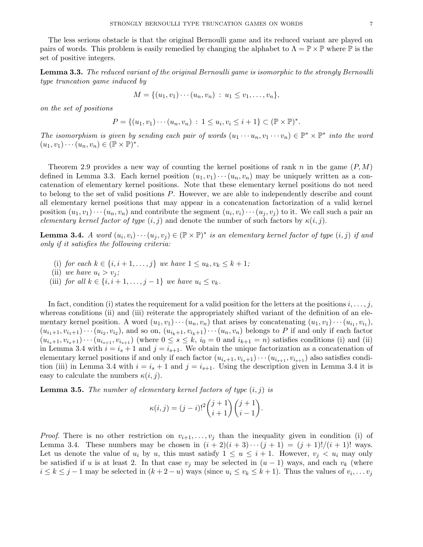The less serious obstacle is that the original Bernoulli game and its reduced variant are played on pairs of words. This problem is easily remedied by changing the alphabet to  $\Lambda = \mathbb{P} \times \mathbb{P}$  where  $\mathbb{P}$  is the set of positive integers.

Lemma 3.3. The reduced variant of the original Bernoulli game is isomorphic to the strongly Bernoulli type truncation game induced by

$$
M = \{(u_1, v_1) \cdots (u_n, v_n) : u_1 \le v_1, \ldots, v_n\},\
$$

on the set of positions

$$
P = \{(u_1, v_1) \cdots (u_n, v_n) : 1 \le u_i, v_i \le i + 1\} \subset (\mathbb{P} \times \mathbb{P})^*.
$$

The isomorphism is given by sending each pair of words  $(u_1 \cdots u_n, v_1 \cdots v_n) \in \mathbb{P}^* \times \mathbb{P}^*$  into the word  $(u_1, v_1) \cdots (u_n, v_n) \in (\mathbb{P} \times \mathbb{P})^*.$ 

Theorem 2.9 provides a new way of counting the kernel positions of rank n in the game  $(P, M)$ defined in Lemma 3.3. Each kernel position  $(u_1, v_1) \cdots (u_n, v_n)$  may be uniquely written as a concatenation of elementary kernel positions. Note that these elementary kernel positions do not need to belong to the set of valid positions P. However, we are able to independently describe and count all elementary kernel positions that may appear in a concatenation factorization of a valid kernel position  $(u_1, v_1) \cdots (u_n, v_n)$  and contribute the segment  $(u_i, v_i) \cdots (u_j, v_j)$  to it. We call such a pair an elementary kernel factor of type  $(i, j)$  and denote the number of such factors by  $\kappa(i, j)$ .

**Lemma 3.4.** A word  $(u_i, v_i) \cdots (u_j, v_j) \in (\mathbb{P} \times \mathbb{P})^*$  is an elementary kernel factor of type  $(i, j)$  if and only if it satisfies the following criteria:

- (i) for each  $k \in \{i, i+1, ..., j\}$  we have  $1 \le u_k, v_k \le k+1$ ;
- (ii) we have  $u_i > v_j$ ;
- (iii) for all  $k \in \{i, i+1, \ldots, j-1\}$  we have  $u_i \le v_k$ .

In fact, condition (i) states the requirement for a valid position for the letters at the positions  $i, \ldots, j$ , whereas conditions (ii) and (iii) reiterate the appropriately shifted variant of the definition of an elementary kernel position. A word  $(u_1, v_1) \cdots (u_n, v_n)$  that arises by concatenating  $(u_1, v_1) \cdots (u_{i_1}, v_{i_1}),$  $(u_{i_1+1}, v_{i_1+1})\cdots (u_{i_2}, v_{i_2})$ , and so on,  $(u_{i_k+1}, v_{i_k+1})\cdots (u_n, v_n)$  belongs to P if and only if each factor  $(u_{i_s+1}, v_{i_s+1})\cdots (u_{i_{s+1}}, v_{i_{s+1}})$  (where  $0 \le s \le k$ ,  $i_0 = 0$  and  $i_{k+1} = n$ ) satisfies conditions (i) and (ii) in Lemma 3.4 with  $i = i_s + 1$  and  $j = i_{s+1}$ . We obtain the unique factorization as a concatenation of elementary kernel positions if and only if each factor  $(u_{i_s+1}, v_{i_s+1}) \cdots (u_{i_{s+1}}, v_{i_{s+1}})$  also satisfies condition (iii) in Lemma 3.4 with  $i = i_s + 1$  and  $j = i_{s+1}$ . Using the description given in Lemma 3.4 it is easy to calculate the numbers  $\kappa(i, j)$ .

**Lemma 3.5.** The number of elementary kernel factors of type  $(i, j)$  is

$$
\kappa(i,j) = (j-i)!^2 \binom{j+1}{i+1} \binom{j+1}{i-1}.
$$

*Proof.* There is no other restriction on  $v_{i+1}, \ldots, v_j$  than the inequality given in condition (i) of Lemma 3.4. These numbers may be chosen in  $(i + 2)(i + 3) \cdots (j + 1) = (j + 1)!/(i + 1)!$  ways. Let us denote the value of  $u_i$  by u, this must satisfy  $1 \le u \le i+1$ . However,  $v_j < u_i$  may only be satisfied if u is at least 2. In that case  $v_j$  may be selected in  $(u-1)$  ways, and each  $v_k$  (where  $i \leq k \leq j-1$  may be selected in  $(k+2-u)$  ways (since  $u_i \leq v_k \leq k+1$ ). Thus the values of  $v_i, \ldots v_j$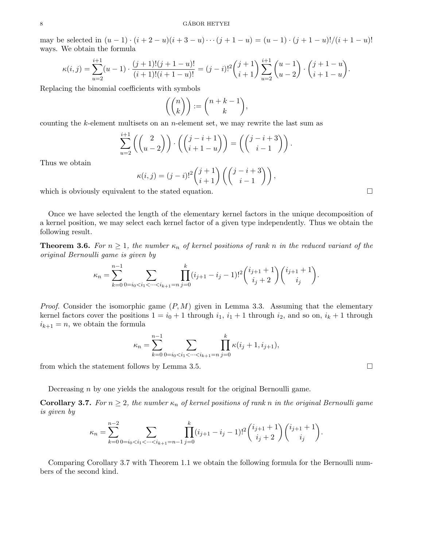may be selected in  $(u - 1) \cdot (i + 2 - u)(i + 3 - u) \cdot \cdot \cdot (j + 1 - u) = (u - 1) \cdot (j + 1 - u)!/(i + 1 - u)!$ ways. We obtain the formula

$$
\kappa(i,j) = \sum_{u=2}^{i+1} (u-1) \cdot \frac{(j+1)!(j+1-u)!}{(i+1)!(i+1-u)!} = (j-i)!^2 \binom{j+1}{i+1} \sum_{u=2}^{i+1} \binom{u-1}{u-2} \cdot \binom{j+1-u}{i+1-u}.
$$

Replacing the binomial coefficients with symbols

$$
\left(\binom{n}{k}\right) := \binom{n+k-1}{k},
$$

counting the  $k$ -element multisets on an *n*-element set, we may rewrite the last sum as

$$
\sum_{u=2}^{i+1} \left( \binom{2}{u-2} \right) \cdot \left( \binom{j-i+1}{i+1-u} \right) = \left( \binom{j-i+3}{i-1} \right).
$$

Thus we obtain

$$
\kappa(i,j) = (j-i)!^2 \binom{j+1}{i+1} \left( \binom{j-i+3}{i-1} \right),
$$

which is obviously equivalent to the stated equation.  $\Box$ 

Once we have selected the length of the elementary kernel factors in the unique decomposition of a kernel position, we may select each kernel factor of a given type independently. Thus we obtain the following result.

**Theorem 3.6.** For  $n \geq 1$ , the number  $\kappa_n$  of kernel positions of rank n in the reduced variant of the original Bernoulli game is given by

$$
\kappa_n = \sum_{k=0}^{n-1} \sum_{0=i_0 < i_1 < \dots < i_{k+1}=n} \prod_{j=0}^k (i_{j+1} - i_j - 1)!^2 \binom{i_{j+1}+1}{i_j+2} \binom{i_{j+1}+1}{i_j}.
$$

*Proof.* Consider the isomorphic game  $(P, M)$  given in Lemma 3.3. Assuming that the elementary kernel factors cover the positions  $1 = i_0 + 1$  through  $i_1$ ,  $i_1 + 1$  through  $i_2$ , and so on,  $i_k + 1$  through  $i_{k+1} = n$ , we obtain the formula

$$
\kappa_n = \sum_{k=0}^{n-1} \sum_{0=i_0 < i_1 < \dots < i_{k+1} = n} \prod_{j=0}^k \kappa(i_j + 1, i_{j+1}),
$$

from which the statement follows by Lemma 3.5.

Decreasing n by one yields the analogous result for the original Bernoulli game.

**Corollary 3.7.** For  $n \geq 2$ , the number  $\kappa_n$  of kernel positions of rank n in the original Bernoulli game is given by

$$
\kappa_n = \sum_{k=0}^{n-2} \sum_{0=i_0 < i_1 < \dots < i_{k+1}=n-1} \prod_{j=0}^k (i_{j+1} - i_j - 1)!^2 \binom{i_{j+1}+1}{i_j+2} \binom{i_{j+1}+1}{i_j}.
$$

Comparing Corollary 3.7 with Theorem 1.1 we obtain the following formula for the Bernoulli numbers of the second kind.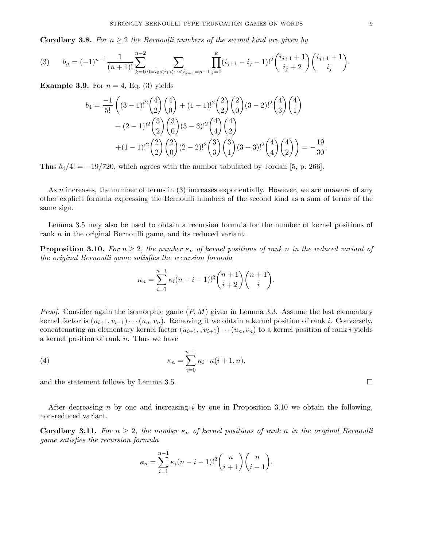**Corollary 3.8.** For  $n \geq 2$  the Bernoulli numbers of the second kind are given by

$$
(3) \t b_n = (-1)^{n-1} \frac{1}{(n+1)!} \sum_{k=0}^{n-2} \sum_{0=i_0 < i_1 < \dots < i_{k+1}=n-1} \prod_{j=0}^k (i_{j+1} - i_j - 1)!^2 {i_{j+1}+1 \choose i_j+2} {i_{j+1}+1 \choose i_j}.
$$

**Example 3.9.** For  $n = 4$ , Eq. (3) yields

$$
b_4 = \frac{-1}{5!} \left( (3-1)!^2 {4 \choose 2} {4 \choose 0} + (1-1)!^2 {2 \choose 2} {2 \choose 0} (3-2)!^2 {4 \choose 3} {4 \choose 1} + (2-1)!^2 {3 \choose 2} {3 \choose 0} (3-3)!^2 {4 \choose 4} {4 \choose 2} + (1-1)!^2 {2 \choose 2} {2 \choose 0} (2-2)!^2 {3 \choose 3} {3 \choose 1} (3-3)!^2 {4 \choose 4} {4 \choose 2} = -\frac{19}{30}.
$$

Thus  $b_4/4! = -19/720$ , which agrees with the number tabulated by Jordan [5, p. 266].

As *n* increases, the number of terms in (3) increases exponentially. However, we are unaware of any other explicit formula expressing the Bernoulli numbers of the second kind as a sum of terms of the same sign.

Lemma 3.5 may also be used to obtain a recursion formula for the number of kernel positions of rank *n* in the original Bernoulli game, and its reduced variant.

**Proposition 3.10.** For  $n \geq 2$ , the number  $\kappa_n$  of kernel positions of rank n in the reduced variant of the original Bernoulli game satisfies the recursion formula

$$
\kappa_n = \sum_{i=0}^{n-1} \kappa_i (n-i-1)!^2 \binom{n+1}{i+2} \binom{n+1}{i}.
$$

*Proof.* Consider again the isomorphic game  $(P, M)$  given in Lemma 3.3. Assume the last elementary kernel factor is  $(u_{i+1}, v_{i+1}) \cdots (u_n, v_n)$ . Removing it we obtain a kernel position of rank i. Conversely, concatenating an elementary kernel factor  $(u_{i+1}, v_{i+1}) \cdots (u_n, v_n)$  to a kernel position of rank i yields a kernel position of rank n. Thus we have

(4) 
$$
\kappa_n = \sum_{i=0}^{n-1} \kappa_i \cdot \kappa(i+1, n),
$$

and the statement follows by Lemma 3.5.

After decreasing n by one and increasing i by one in Proposition 3.10 we obtain the following, non-reduced variant.

**Corollary 3.11.** For  $n \geq 2$ , the number  $\kappa_n$  of kernel positions of rank n in the original Bernoulli game satisfies the recursion formula

$$
\kappa_n = \sum_{i=1}^{n-1} \kappa_i (n-i-1)!^2 {n \choose i+1} {n \choose i-1}.
$$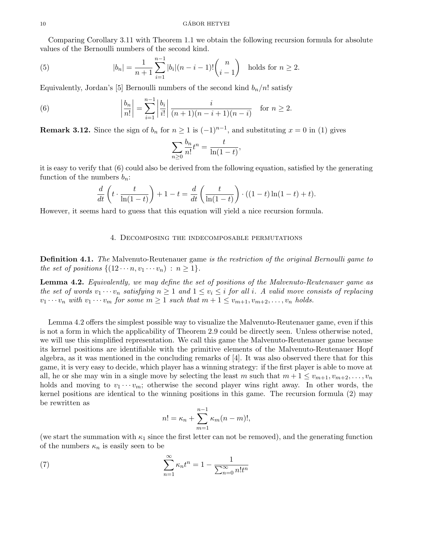Comparing Corollary 3.11 with Theorem 1.1 we obtain the following recursion formula for absolute values of the Bernoulli numbers of the second kind.

(5) 
$$
|b_n| = \frac{1}{n+1} \sum_{i=1}^{n-1} |b_i|(n-i-1)! {n \choose i-1} \text{ holds for } n \ge 2.
$$

Equivalently, Jordan's [5] Bernoulli numbers of the second kind  $b_n/n!$  satisfy

(6) 
$$
\left| \frac{b_n}{n!} \right| = \sum_{i=1}^{n-1} \left| \frac{b_i}{i!} \right| \frac{i}{(n+1)(n-i+1)(n-i)} \text{ for } n \ge 2.
$$

**Remark 3.12.** Since the sign of  $b_n$  for  $n \geq 1$  is  $(-1)^{n-1}$ , and substituting  $x = 0$  in (1) gives

$$
\sum_{n\geq 0} \frac{b_n}{n!} t^n = \frac{t}{\ln(1-t)},
$$

it is easy to verify that (6) could also be derived from the following equation, satisfied by the generating function of the numbers  $b_n$ :

$$
\frac{d}{dt}\left(t\cdot\frac{t}{\ln(1-t)}\right) + 1 - t = \frac{d}{dt}\left(\frac{t}{\ln(1-t)}\right)\cdot((1-t)\ln(1-t) + t).
$$

However, it seems hard to guess that this equation will yield a nice recursion formula.

### 4. Decomposing the indecomposable permutations

Definition 4.1. The Malvenuto-Reutenauer game is the restriction of the original Bernoulli game to the set of positions  $\{(12 \cdots n, v_1 \cdots v_n) : n \geq 1\}.$ 

**Lemma 4.2.** Equivalently, we may define the set of positions of the Malvenuto-Reutenauer game as the set of words  $v_1 \cdots v_n$  satisfying  $n \geq 1$  and  $1 \leq v_i \leq i$  for all i. A valid move consists of replacing  $v_1 \cdots v_n$  with  $v_1 \cdots v_m$  for some  $m \geq 1$  such that  $m+1 \leq v_{m+1}, v_{m+2}, \ldots, v_n$  holds.

Lemma 4.2 offers the simplest possible way to visualize the Malvenuto-Reutenauer game, even if this is not a form in which the applicability of Theorem 2.9 could be directly seen. Unless otherwise noted, we will use this simplified representation. We call this game the Malvenuto-Reutenauer game because its kernel positions are identifiable with the primitive elements of the Malvenuto-Reutenauer Hopf algebra, as it was mentioned in the concluding remarks of [4]. It was also observed there that for this game, it is very easy to decide, which player has a winning strategy: if the first player is able to move at all, he or she may win in a single move by selecting the least m such that  $m + 1 \leq v_{m+1}, v_{m+2}, \ldots, v_n$ holds and moving to  $v_1 \cdots v_m$ ; otherwise the second player wins right away. In other words, the kernel positions are identical to the winning positions in this game. The recursion formula (2) may be rewritten as

$$
n! = \kappa_n + \sum_{m=1}^{n-1} \kappa_m (n-m)!,
$$

(we start the summation with  $\kappa_1$  since the first letter can not be removed), and the generating function of the numbers  $\kappa_n$  is easily seen to be

(7) 
$$
\sum_{n=1}^{\infty} \kappa_n t^n = 1 - \frac{1}{\sum_{n=0}^{\infty} n! t^n}
$$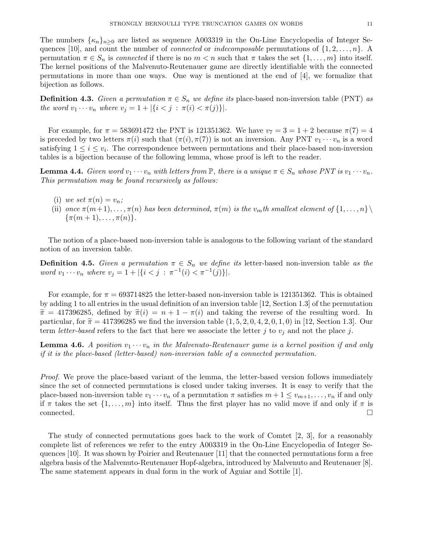The numbers  $\{\kappa_n\}_{n>0}$  are listed as sequence A003319 in the On-Line Encyclopedia of Integer Sequences [10], and count the number of *connected* or *indecomposable* permutations of  $\{1, 2, \ldots, n\}$ . A permutation  $\pi \in S_n$  is connected if there is no  $m < n$  such that  $\pi$  takes the set  $\{1, \ldots, m\}$  into itself. The kernel positions of the Malvenuto-Reutenauer game are directly identifiable with the connected permutations in more than one ways. One way is mentioned at the end of [4], we formalize that bijection as follows.

**Definition 4.3.** Given a permutation  $\pi \in S_n$  we define its place-based non-inversion table (PNT) as the word  $v_1 \cdots v_n$  where  $v_j = 1 + |\{i < j : \pi(i) < \pi(j)\}|$ .

For example, for  $\pi = 583691472$  the PNT is 121351362. We have  $v_7 = 3 = 1 + 2$  because  $\pi(7) = 4$ is preceded by two letters  $\pi(i)$  such that  $(\pi(i), \pi(7))$  is not an inversion. Any PNT  $v_1 \cdots v_n$  is a word satisfying  $1 \leq i \leq v_i$ . The correspondence between permutations and their place-based non-inversion tables is a bijection because of the following lemma, whose proof is left to the reader.

**Lemma 4.4.** Given word  $v_1 \cdots v_n$  with letters from  $\mathbb{P}$ , there is a unique  $\pi \in S_n$  whose PNT is  $v_1 \cdots v_n$ . This permutation may be found recursively as follows:

- (i) we set  $\pi(n) = v_n$ ;
- (ii) once  $\pi(m+1), \ldots, \pi(n)$  has been determined,  $\pi(m)$  is the  $v_m$ th smallest element of  $\{1, \ldots, n\}$  $\{\pi(m+1), \ldots, \pi(n)\}.$

The notion of a place-based non-inversion table is analogous to the following variant of the standard notion of an inversion table.

**Definition 4.5.** Given a permutation  $\pi \in S_n$  we define its letter-based non-inversion table as the word  $v_1 \cdots v_n$  where  $v_j = 1 + |\{i \leq j : \pi^{-1}(i) \leq \pi^{-1}(j)\}|$ .

For example, for  $\pi = 693714825$  the letter-based non-inversion table is 121351362. This is obtained by adding 1 to all entries in the usual definition of an inversion table [12, Section 1.3] of the permutation  $\tilde{\pi} = 417396285$ , defined by  $\tilde{\pi}(i) = n + 1 - \pi(i)$  and taking the reverse of the resulting word. In particular, for  $\tilde{\pi} = 417396285$  we find the inversion table  $(1, 5, 2, 0, 4, 2, 0, 1, 0)$  in [12, Section 1.3]. Our term letter-based refers to the fact that here we associate the letter j to  $v_i$  and not the place j.

**Lemma 4.6.** A position  $v_1 \cdots v_n$  in the Malvenuto-Reutenauer game is a kernel position if and only if it is the place-based (letter-based) non-inversion table of a connected permutation.

*Proof.* We prove the place-based variant of the lemma, the letter-based version follows immediately since the set of connected permutations is closed under taking inverses. It is easy to verify that the place-based non-inversion table  $v_1 \cdots v_n$  of a permutation  $\pi$  satisfies  $m + 1 \le v_{m+1}, \ldots, v_n$  if and only if  $\pi$  takes the set  $\{1,\ldots,m\}$  into itself. Thus the first player has no valid move if and only if  $\pi$  is  $\Box$ connected.  $\Box$ 

The study of connected permutations goes back to the work of Comtet [2, 3], for a reasonably complete list of references we refer to the entry A003319 in the On-Line Encyclopedia of Integer Sequences [10]. It was shown by Poirier and Reutenauer [11] that the connected permutations form a free algebra basis of the Malvenuto-Reutenauer Hopf-algebra, introduced by Malvenuto and Reutenauer [8]. The same statement appears in dual form in the work of Aguiar and Sottile [1].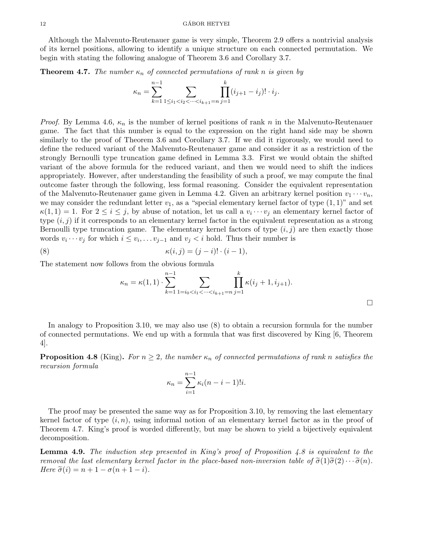Although the Malvenuto-Reutenauer game is very simple, Theorem 2.9 offers a nontrivial analysis of its kernel positions, allowing to identify a unique structure on each connected permutation. We begin with stating the following analogue of Theorem 3.6 and Corollary 3.7.

**Theorem 4.7.** The number  $\kappa_n$  of connected permutations of rank n is given by

$$
\kappa_n = \sum_{k=1}^{n-1} \sum_{1 \le i_1 < i_2 < \dots < i_{k+1} = n} \prod_{j=1}^k (i_{j+1} - i_j)! \cdot i_j.
$$

*Proof.* By Lemma 4.6,  $\kappa_n$  is the number of kernel positions of rank n in the Malvenuto-Reutenauer game. The fact that this number is equal to the expression on the right hand side may be shown similarly to the proof of Theorem 3.6 and Corollary 3.7. If we did it rigorously, we would need to define the reduced variant of the Malvenuto-Reutenauer game and consider it as a restriction of the strongly Bernoulli type truncation game defined in Lemma 3.3. First we would obtain the shifted variant of the above formula for the reduced variant, and then we would need to shift the indices appropriately. However, after understanding the feasibility of such a proof, we may compute the final outcome faster through the following, less formal reasoning. Consider the equivalent representation of the Malvenuto-Reutenauer game given in Lemma 4.2. Given an arbitrary kernel position  $v_1 \cdots v_n$ , we may consider the redundant letter  $v_1$ , as a "special elementary kernel factor of type  $(1, 1)$ " and set  $\kappa(1,1) = 1$ . For  $2 \leq i \leq j$ , by abuse of notation, let us call a  $v_i \cdots v_j$  an elementary kernel factor of type  $(i, j)$  if it corresponds to an elementary kernel factor in the equivalent representation as a strong Bernoulli type truncation game. The elementary kernel factors of type  $(i, j)$  are then exactly those words  $v_i \cdots v_j$  for which  $i \leq v_i, \ldots v_{j-1}$  and  $v_j < i$  hold. Thus their number is

(8) 
$$
\kappa(i,j) = (j-i)! \cdot (i-1),
$$

The statement now follows from the obvious formula

$$
\kappa_n = \kappa(1,1) \cdot \sum_{k=1}^{n-1} \sum_{1=i_0 < i_1 < \dots < i_{k+1}=n} \prod_{j=1}^k \kappa(i_j+1, i_{j+1}).
$$

In analogy to Proposition 3.10, we may also use (8) to obtain a recursion formula for the number of connected permutations. We end up with a formula that was first discovered by King [6, Theorem 4].

**Proposition 4.8** (King). For  $n \geq 2$ , the number  $\kappa_n$  of connected permutations of rank n satisfies the recursion formula

$$
\kappa_n = \sum_{i=1}^{n-1} \kappa_i (n-i-1)! i.
$$

The proof may be presented the same way as for Proposition 3.10, by removing the last elementary kernel factor of type  $(i, n)$ , using informal notion of an elementary kernel factor as in the proof of Theorem 4.7. King's proof is worded differently, but may be shown to yield a bijectively equivalent decomposition.

**Lemma 4.9.** The induction step presented in King's proof of Proposition 4.8 is equivalent to the removal the last elementary kernel factor in the place-based non-inversion table of  $\tilde{\sigma}(1)\tilde{\sigma}(2)\cdots\tilde{\sigma}(n)$ . Here  $\tilde{\sigma}(i) = n + 1 - \sigma(n + 1 - i)$ .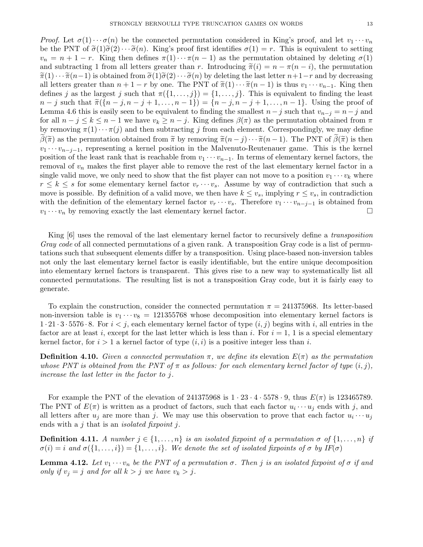*Proof.* Let  $\sigma(1)\cdots\sigma(n)$  be the connected permutation considered in King's proof, and let  $v_1\cdots v_n$ be the PNT of  $\tilde{\sigma}(1)\tilde{\sigma}(2)\cdots\tilde{\sigma}(n)$ . King's proof first identifies  $\sigma(1) = r$ . This is equivalent to setting  $v_n = n + 1 - r$ . King then defines  $\pi(1) \cdots \pi(n-1)$  as the permutation obtained by deleting  $\sigma(1)$ and subtracting 1 from all letters greater than r. Introducing  $\tilde{\pi}(i) = n - \pi(n - i)$ , the permutation  $\tilde{\pi}(1)\cdots\tilde{\pi}(n-1)$  is obtained from  $\tilde{\sigma}(1)\tilde{\sigma}(2)\cdots\tilde{\sigma}(n)$  by deleting the last letter  $n+1-r$  and by decreasing all letters greater than  $n + 1 - r$  by one. The PNT of  $\tilde{\pi}(1) \cdots \tilde{\pi}(n-1)$  is thus  $v_1 \cdots v_{n-1}$ . King then defines j as the largest j such that  $\pi({1,\ldots,j}) = {1,\ldots,j}$ . This is equivalent to finding the least  $n - j$  such that  $\tilde{\pi}({n - j, n - j + 1, \ldots, n - 1}) = {n - j, n - j + 1, \ldots, n - 1}.$  Using the proof of Lemma 4.6 this is easily seen to be equivalent to finding the smallest  $n-j$  such that  $v_{n-j} = n-j$  and for all  $n - j \le k \le n - 1$  we have  $v_k \ge n - j$ . King defines  $\beta(\pi)$  as the permutation obtained from  $\pi$ by removing  $\pi(1)\cdots\pi(j)$  and then subtracting j from each element. Correspondingly, we may define  $\beta(\tilde{\pi})$  as the permutation obtained from  $\tilde{\pi}$  by removing  $\tilde{\pi}(n-j)\cdots\tilde{\pi}(n-1)$ . The PNT of  $\beta(\tilde{\pi})$  is then  $v_1 \cdots v_{n-j-1}$ , representing a kernel position in the Malvenuto-Reutenauer game. This is the kernel position of the least rank that is reachable from  $v_1 \cdots v_{n-1}$ . In terms of elementary kernel factors, the removal of  $v_n$  makes the first player able to remove the rest of the last elementary kernel factor in a single valid move, we only need to show that the fist player can not move to a position  $v_1 \cdots v_k$  where  $r \leq k \leq s$  for some elementary kernel factor  $v_r \cdots v_s$ . Assume by way of contradiction that such a move is possible. By definition of a valid move, we then have  $k \leq v_s$ , implying  $r \leq v_s$ , in contradiction with the definition of the elementary kernel factor  $v_r \cdots v_s$ . Therefore  $v_1 \cdots v_{n-j-1}$  is obtained from  $v_1 \cdots v_n$  by removing exactly the last elementary kernel factor.

King [6] uses the removal of the last elementary kernel factor to recursively define a transposition Gray code of all connected permutations of a given rank. A transposition Gray code is a list of permutations such that subsequent elements differ by a transposition. Using place-based non-inversion tables not only the last elementary kernel factor is easily identifiable, but the entire unique decomposition into elementary kernel factors is transparent. This gives rise to a new way to systematically list all connected permutations. The resulting list is not a transposition Gray code, but it is fairly easy to generate.

To explain the construction, consider the connected permutation  $\pi = 241375968$ . Its letter-based non-inversion table is  $v_1 \cdots v_8 = 121355768$  whose decomposition into elementary kernel factors is  $1 \cdot 21 \cdot 3 \cdot 5576 \cdot 8$ . For  $i < j$ , each elementary kernel factor of type  $(i, j)$  begins with i, all entries in the factor are at least i, except for the last letter which is less than i. For  $i = 1$ , 1 is a special elementary kernel factor, for  $i > 1$  a kernel factor of type  $(i, i)$  is a positive integer less than i.

**Definition 4.10.** Given a connected permutation  $\pi$ , we define its elevation  $E(\pi)$  as the permutation whose PNT is obtained from the PNT of  $\pi$  as follows: for each elementary kernel factor of type  $(i, j)$ , increase the last letter in the factor to j.

For example the PNT of the elevation of 241375968 is  $1 \cdot 23 \cdot 4 \cdot 5578 \cdot 9$ , thus  $E(\pi)$  is 123465789. The PNT of  $E(\pi)$  is written as a product of factors, such that each factor  $u_i \cdots u_j$  ends with j, and all letters after  $u_j$  are more than j. We may use this observation to prove that each factor  $u_i \cdots u_j$ ends with a  $j$  that is an *isolated fixpoint*  $j$ .

**Definition 4.11.** A number  $j \in \{1, ..., n\}$  is an isolated fixpoint of a permutation  $\sigma$  of  $\{1, ..., n\}$  if  $\sigma(i) = i$  and  $\sigma(\{1, \ldots, i\}) = \{1, \ldots, i\}$ . We denote the set of isolated fixpoints of  $\sigma$  by IF( $\sigma$ )

**Lemma 4.12.** Let  $v_1 \cdots v_n$  be the PNT of a permutation  $\sigma$ . Then j is an isolated fixpoint of  $\sigma$  if and only if  $v_j = j$  and for all  $k > j$  we have  $v_k > j$ .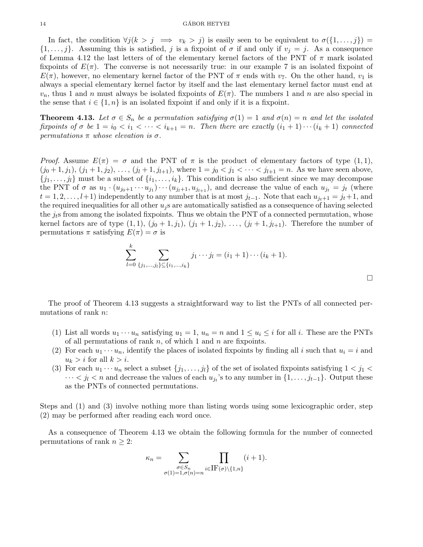In fact, the condition  $\forall j (k > j \implies v_k > j)$  is easily seen to be equivalent to  $\sigma(\{1, \ldots, j\})$  $\{1,\ldots,j\}$ . Assuming this is satisfied, j is a fixpoint of  $\sigma$  if and only if  $v_j = j$ . As a consequence of Lemma 4.12 the last letters of of the elementary kernel factors of the PNT of  $\pi$  mark isolated fixpoints of  $E(\pi)$ . The converse is not necessarily true: in our example 7 is an isolated fixpoint of  $E(\pi)$ , however, no elementary kernel factor of the PNT of  $\pi$  ends with  $v_7$ . On the other hand,  $v_1$  is always a special elementary kernel factor by itself and the last elementary kernel factor must end at  $v_n$ , thus 1 and n must always be isolated fixpoints of  $E(\pi)$ . The numbers 1 and n are also special in the sense that  $i \in \{1, n\}$  is an isolated fixpoint if and only if it is a fixpoint.

**Theorem 4.13.** Let  $\sigma \in S_n$  be a permutation satisfying  $\sigma(1) = 1$  and  $\sigma(n) = n$  and let the isolated fixpoints of  $\sigma$  be  $1 = i_0 < i_1 < \cdots < i_{k+1} = n$ . Then there are exactly  $(i_1 + 1) \cdots (i_k + 1)$  connected permutations  $\pi$  whose elevation is  $\sigma$ .

*Proof.* Assume  $E(\pi) = \sigma$  and the PNT of  $\pi$  is the product of elementary factors of type  $(1, 1)$ ,  $(j_0+1, j_1), (j_1+1, j_2), \ldots, (j_l+1, j_{l+1}),$  where  $1 = j_0 < j_1 < \cdots < j_{l+1} = n$ . As we have seen above,  $\{j_1, \ldots, j_l\}$  must be a subset of  $\{i_1, \ldots, i_k\}$ . This condition is also sufficient since we may decompose the PNT of  $\sigma$  as  $u_1 \cdot (u_{j_0+1} \cdots u_{j_1}) \cdots (u_{j_l+1}, u_{j_{l+1}})$ , and decrease the value of each  $u_{j_t} = j_t$  (where  $t = 1, 2, \ldots, l+1$ ) independently to any number that is at most  $j_{t-1}$ . Note that each  $u_{j_t+1} = j_t+1$ , and the required inequalities for all other  $u_j$  s are automatically satisfied as a consequence of having selected the  $j_t$ s from among the isolated fixpoints. Thus we obtain the PNT of a connected permutation, whose kernel factors are of type  $(1, 1)$ ,  $(j_0 + 1, j_1)$ ,  $(j_1 + 1, j_2)$ , ...,  $(j_l + 1, j_{l+1})$ . Therefore the number of permutations  $\pi$  satisfying  $E(\pi) = \sigma$  is

$$
\sum_{l=0}^{k} \sum_{\{j_1,\ldots,j_l\} \subseteq \{i_1,\ldots,i_k\}} j_1 \cdots j_l = (i_1+1) \cdots (i_k+1).
$$

 $\Box$ 

The proof of Theorem 4.13 suggests a straightforward way to list the PNTs of all connected permutations of rank n:

- (1) List all words  $u_1 \cdots u_n$  satisfying  $u_1 = 1$ ,  $u_n = n$  and  $1 \le u_i \le i$  for all i. These are the PNTs of all permutations of rank  $n$ , of which 1 and  $n$  are fixpoints.
- (2) For each  $u_1 \cdots u_n$ , identify the places of isolated fixpoints by finding all i such that  $u_i = i$  and  $u_k > i$  for all  $k > i$ .
- (3) For each  $u_1 \cdots u_n$  select a subset  $\{j_1, \ldots, j_l\}$  of the set of isolated fixpoints satisfying  $1 < j_1 <$  $\cdots < j_l < n$  and decrease the values of each  $u_{j_t}$ 's to any number in  $\{1, \ldots, j_{t-1}\}$ . Output these as the PNTs of connected permutations.

Steps and (1) and (3) involve nothing more than listing words using some lexicographic order, step (2) may be performed after reading each word once.

As a consequence of Theorem 4.13 we obtain the following formula for the number of connected permutations of rank  $n \geq 2$ :

$$
\kappa_n = \sum_{\substack{\sigma \in S_n \\ \sigma(1)=1, \sigma(n)=n}} \prod_{i \in \text{IF}(\sigma) \setminus \{1,n\}} (i+1).
$$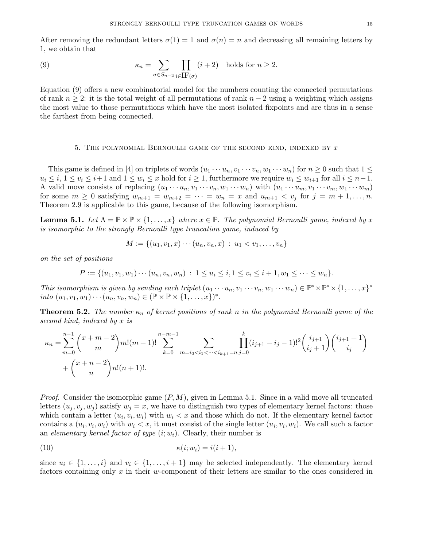After removing the redundant letters  $\sigma(1) = 1$  and  $\sigma(n) = n$  and decreasing all remaining letters by 1, we obtain that

(9) 
$$
\kappa_n = \sum_{\sigma \in S_{n-2}} \prod_{i \in \text{IF}(\sigma)} (i+2) \text{ holds for } n \ge 2.
$$

Equation (9) offers a new combinatorial model for the numbers counting the connected permutations of rank  $n \geq 2$ : it is the total weight of all permutations of rank  $n-2$  using a weighting which assigns the most value to those permutations which have the most isolated fixpoints and are thus in a sense the farthest from being connected.

# 5. THE POLYNOMIAL BERNOULLI GAME OF THE SECOND KIND, INDEXED BY  $x$

This game is defined in [4] on triplets of words  $(u_1 \cdots u_n, v_1 \cdots v_n, w_1 \cdots w_n)$  for  $n \geq 0$  such that  $1 \leq$  $u_i \leq i, 1 \leq v_i \leq i+1$  and  $1 \leq w_i \leq x$  hold for  $i \geq 1$ , furthermore we require  $w_i \leq w_{i+1}$  for all  $i \leq n-1$ . A valid move consists of replacing  $(u_1 \cdots u_n, v_1 \cdots v_n, w_1 \cdots w_n)$  with  $(u_1 \cdots u_m, v_1 \cdots v_m, w_1 \cdots w_m)$ for some  $m \geq 0$  satisfying  $w_{m+1} = w_{m+2} = \cdots = w_n = x$  and  $u_{m+1} < v_j$  for  $j = m+1, \ldots, n$ . Theorem 2.9 is applicable to this game, because of the following isomorphism.

**Lemma 5.1.** Let  $\Lambda = \mathbb{P} \times \mathbb{P} \times \{1, ..., x\}$  where  $x \in \mathbb{P}$ . The polynomial Bernoulli game, indexed by x is isomorphic to the strongly Bernoulli type truncation game, induced by

$$
M := \{(u_1, v_1, x) \cdots (u_n, v_n, x) : u_1 < v_1, \ldots, v_n\}
$$

on the set of positions

$$
P := \{ (u_1, v_1, w_1) \cdots (u_n, v_n, w_n) : 1 \le u_i \le i, 1 \le v_i \le i+1, w_1 \le \cdots \le w_n \}.
$$

This isomorphism is given by sending each triplet  $(u_1 \cdots u_n, v_1 \cdots v_n, w_1 \cdots w_n) \in \mathbb{P}^* \times \mathbb{P}^* \times \{1, \ldots, x\}^*$ into  $(u_1, v_1, w_1) \cdots (u_n, v_n, w_n) \in (\mathbb{P} \times \mathbb{P} \times \{1, \ldots, x\})^*$ .

**Theorem 5.2.** The number  $\kappa_n$  of kernel positions of rank n in the polynomial Bernoulli game of the second kind, indexed by x is

$$
\kappa_n = \sum_{m=0}^{n-1} {x + m - 2 \choose m} m! (m+1)! \sum_{k=0}^{n-m-1} \sum_{m=i_0 < i_1 < \dots < i_{k+1} = n} \prod_{j=0}^k (i_{j+1} - i_j - 1)!^2 {i_{j+1} \choose i_j + 1} {i_{j+1} + 1 \choose i_j} + {x + n - 2 \choose n} n! (n+1)!.
$$

*Proof.* Consider the isomorphic game  $(P, M)$ , given in Lemma 5.1. Since in a valid move all truncated letters  $(u_i, v_i, w_j)$  satisfy  $w_j = x$ , we have to distinguish two types of elementary kernel factors: those which contain a letter  $(u_i, v_i, w_i)$  with  $w_i < x$  and those which do not. If the elementary kernel factor contains a  $(u_i, v_i, w_i)$  with  $w_i < x$ , it must consist of the single letter  $(u_i, v_i, w_i)$ . We call such a factor an elementary kernel factor of type  $(i; w_i)$ . Clearly, their number is

$$
\kappa(i; w_i) = i(i+1),
$$

since  $u_i \in \{1, \ldots, i\}$  and  $v_i \in \{1, \ldots, i+1\}$  may be selected independently. The elementary kernel factors containing only x in their w-component of their letters are similar to the ones considered in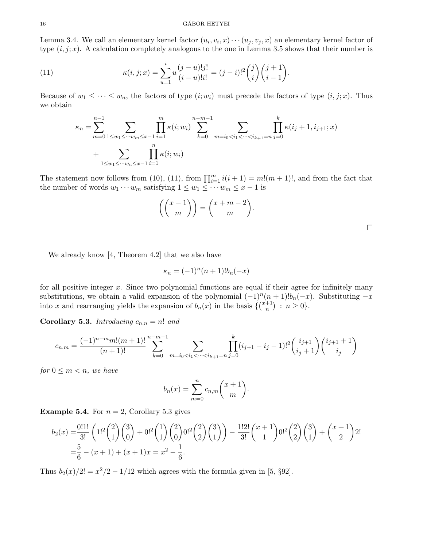Lemma 3.4. We call an elementary kernel factor  $(u_i, v_i, x) \cdots (u_j, v_j, x)$  an elementary kernel factor of type  $(i, j; x)$ . A calculation completely analogous to the one in Lemma 3.5 shows that their number is

(11) 
$$
\kappa(i,j;x) = \sum_{u=1}^{i} u \frac{(j-u)!j!}{(i-u)!i!} = (j-i)!^2 {j \choose i} {j+1 \choose i-1}.
$$

Because of  $w_1 \leq \cdots \leq w_n$ , the factors of type  $(i; w_i)$  must precede the factors of type  $(i, j; x)$ . Thus we obtain

$$
\kappa_n = \sum_{m=0}^{n-1} \sum_{1 \le w_1 \le \dots \le w_m \le x-1} \prod_{i=1}^m \kappa(i; w_i) \sum_{k=0}^{n-m-1} \sum_{m=i_0 < i_1 < \dots < i_{k+1}=n} \prod_{j=0}^k \kappa(i_j+1, i_{j+1}; x) + \sum_{1 \le w_1 \le \dots \le w_n \le x-1} \prod_{i=1}^n \kappa(i; w_i)
$$

The statement now follows from (10), (11), from  $\prod_{i=1}^{m} i(i + 1) = m!(m + 1)!$ , and from the fact that the number of words  $w_1 \cdots w_m$  satisfying  $1 \leq w_1 \leq \cdots w_m \leq x-1$  is

$$
\left( \binom{x-1}{m} \right) = \binom{x+m-2}{m}.
$$

We already know [4, Theorem 4.2] that we also have

$$
\kappa_n = (-1)^n (n+1)! b_n(-x)
$$

for all positive integer  $x$ . Since two polynomial functions are equal if their agree for infinitely many substitutions, we obtain a valid expansion of the polynomial  $(-1)^n(n+1)!b_n(-x)$ . Substituting  $-x$ into x and rearranging yields the expansion of  $b_n(x)$  in the basis  $\{ {x_n^{-1}} \}$  $\binom{+1}{n}$  :  $n \geq 0$ .

Corollary 5.3. Introducing  $c_{n,n} = n!$  and

$$
c_{n,m} = \frac{(-1)^{n-m}m!(m+1)!}{(n+1)!} \sum_{k=0}^{n-m-1} \sum_{m=i_0 < i_1 < \dots < i_{k+1}=n} \prod_{j=0}^k (i_{j+1} - i_j - 1)!^2 \binom{i_{j+1}}{i_j+1} \binom{i_{j+1}+1}{i_j}
$$

for  $0 \leq m < n$ , we have

$$
b_n(x) = \sum_{m=0}^n c_{n,m} \binom{x+1}{m}.
$$

**Example 5.4.** For  $n = 2$ , Corollary 5.3 gives

$$
b_2(x) = \frac{0!1!}{3!} \left( 1!^2 \binom{2}{1} \binom{3}{0} + 0!^2 \binom{1}{1} \binom{2}{0} 0!^2 \binom{2}{1} \binom{3}{1} \right) - \frac{1!2!}{3!} \binom{x+1}{1} 0!^2 \binom{2}{2} \binom{3}{1} + \binom{x+1}{2} 2! \\
= \frac{5}{6} - (x+1) + (x+1)x = x^2 - \frac{1}{6}.
$$

Thus  $b_2(x)/2! = x^2/2 - 1/12$  which agrees with the formula given in [5, §92].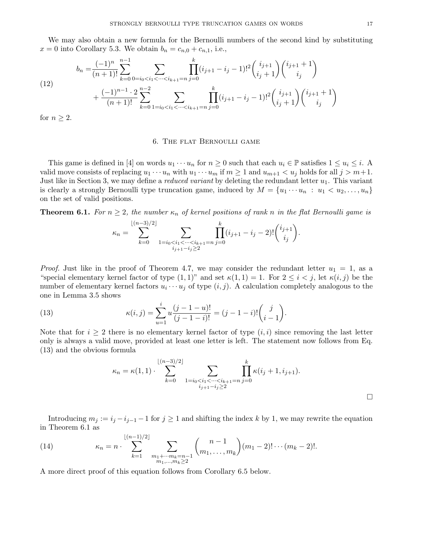We may also obtain a new formula for the Bernoulli numbers of the second kind by substituting  $x = 0$  into Corollary 5.3. We obtain  $b_n = c_{n,0} + c_{n,1}$ , i.e.,

(12)  

$$
b_n = \frac{(-1)^n}{(n+1)!} \sum_{k=0}^{n-1} \sum_{0=i_0 < i_1 < \dots < i_{k+1}=n} \prod_{j=0}^k (i_{j+1} - i_j - 1)!^2 \binom{i_{j+1}}{i_j+1} \binom{i_{j+1}+1}{i_j} \\
+ \frac{(-1)^{n-1} \cdot 2}{(n+1)!} \sum_{k=0}^{n-2} \sum_{1=i_0 < i_1 < \dots < i_{k+1}=n} \prod_{j=0}^k (i_{j+1} - i_j - 1)!^2 \binom{i_{j+1}}{i_j+1} \binom{i_{j+1}+1}{i_j} \\
+ \frac{(-1)^{n-1} \cdot 2}{(n+1)!} \sum_{k=0}^{n-2} \sum_{1=i_0 < i_1 < \dots < i_{k+1}=n} \prod_{j=0}^k (i_{j+1} - i_j - 1)!^2 \binom{i_{j+1}}{i_j+1} \binom{i_{j+1}+1}{i_j} \\
+ \frac{(-1)^{n-1} \cdot 2}{(n+1)!} \sum_{k=0}^{n-2} \sum_{1=i_0 < i_1 < \dots < i_{k+1}=n} \binom{i_{j+1}}{i_j} \binom{i_{j+1}}{i_j+1} \binom{i_{j+1}+1}{i_j} \\
+ \frac{(-1)^{n-1} \cdot 2}{(n+1)!} \sum_{k=0}^{n-2} \sum_{1=i_0 < i_1 < \dots < i_{k+1}=n} \binom{i_{j+1}}{i_j} \binom{i_{j+1}+1}{i_j} \binom{i_{j+1}+1}{i_j} \\
+ \frac{(-1)^{n-1} \cdot 2}{(n+1)!} \sum_{k=0}^{n-2} \sum_{1=i_0 < i_1 < \dots < i_{k+1}=n} \binom{i_{j+1}+1}{i_j} \binom{i_{j+1}+1}{i_j} \binom{i_{j+1}+1}{i_j} \\
+ \frac{(-1)^{n-1} \cdot 2}{(n+1)!} \sum_{k=0}^{n-2} \sum_{1=i_0 < i_1 < \dots < i_{k+1}=n} \binom{i_{j+1}+
$$

for  $n \geq 2$ .

# 6. The flat Bernoulli game

This game is defined in [4] on words  $u_1 \cdots u_n$  for  $n \geq 0$  such that each  $u_i \in \mathbb{P}$  satisfies  $1 \leq u_i \leq i$ . A valid move consists of replacing  $u_1 \cdots u_n$  with  $u_1 \cdots u_m$  if  $m \ge 1$  and  $u_{m+1} < u_j$  holds for all  $j > m+1$ . Just like in Section 3, we may define a *reduced variant* by deleting the redundant letter  $u_1$ . This variant is clearly a strongly Bernoulli type truncation game, induced by  $M = \{u_1 \cdots u_n : u_1 < u_2, \ldots, u_n\}$ on the set of valid positions.

**Theorem 6.1.** For  $n \geq 2$ , the number  $\kappa_n$  of kernel positions of rank n in the flat Bernoulli game is

$$
\kappa_n = \sum_{k=0}^{\lfloor (n-3)/2 \rfloor} \sum_{\substack{1=i_0 < i_1 < \dots < i_{k+1} = n \\ i_{j+1}-i_j \ge 2}} \prod_{j=0}^k (i_{j+1}-i_j-2)! \binom{i_{j+1}}{i_j}.
$$

*Proof.* Just like in the proof of Theorem 4.7, we may consider the redundant letter  $u_1 = 1$ , as a "special elementary kernel factor of type  $(1,1)$ " and set  $\kappa(1,1) = 1$ . For  $2 \le i \le j$ , let  $\kappa(i,j)$  be the number of elementary kernel factors  $u_i \cdots u_j$  of type  $(i, j)$ . A calculation completely analogous to the one in Lemma 3.5 shows

(13) 
$$
\kappa(i,j) = \sum_{u=1}^{i} u \frac{(j-1-u)!}{(j-1-i)!} = (j-1-i)! \binom{j}{i-1}.
$$

Note that for  $i \geq 2$  there is no elementary kernel factor of type  $(i, i)$  since removing the last letter only is always a valid move, provided at least one letter is left. The statement now follows from Eq. (13) and the obvious formula

$$
\kappa_n = \kappa(1,1) \cdot \sum_{k=0}^{\lfloor (n-3)/2 \rfloor} \sum_{\substack{1=i_0 < i_1 < \dots < i_{k+1} = n \\ i_{j+1}-i_j \ge 2}} \prod_{j=0}^k \kappa(i_j+1, i_{j+1}).
$$

Introducing  $m_j := i_j - i_{j-1} - 1$  for  $j \ge 1$  and shifting the index k by 1, we may rewrite the equation in Theorem 6.1 as

(14) 
$$
\kappa_n = n \cdot \sum_{k=1}^{\lfloor (n-1)/2 \rfloor} \sum_{\substack{m_1 + \cdots m_k = n-1 \\ m_1, \ldots, m_k \ge 2}} {n-1 \choose m_1, \ldots, m_k} (m_1 - 2)! \cdots (m_k - 2)!.
$$

A more direct proof of this equation follows from Corollary 6.5 below.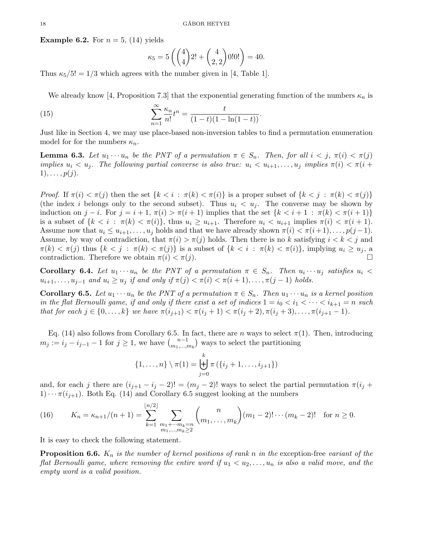**Example 6.2.** For  $n = 5$ , (14) yields

$$
\kappa_5 = 5\left(\binom{4}{4}2! + \binom{4}{2,2}0!0! \right) = 40.
$$

Thus  $\kappa_5/5! = 1/3$  which agrees with the number given in [4, Table 1].

We already know [4, Proposition 7.3] that the exponential generating function of the numbers  $\kappa_n$  is

(15) 
$$
\sum_{n=1}^{\infty} \frac{\kappa_n}{n!} t^n = \frac{t}{(1-t)(1-\ln(1-t))}.
$$

Just like in Section 4, we may use place-based non-inversion tables to find a permutation enumeration model for for the numbers  $\kappa_n$ .

**Lemma 6.3.** Let  $u_1 \cdots u_n$  be the PNT of a permutation  $\pi \in S_n$ . Then, for all  $i < j$ ,  $\pi(i) < \pi(j)$ implies  $u_i < u_j$ . The following partial converse is also true:  $u_i < u_{i+1}, \ldots, u_j$  implies  $\pi(i) < \pi(i + 1)$  $1), \ldots, p(j).$ 

Proof. If  $\pi(i) < \pi(j)$  then the set  $\{k < i : \pi(k) < \pi(i)\}$  is a proper subset of  $\{k < j : \pi(k) < \pi(j)\}$ (the index i belongs only to the second subset). Thus  $u_i < u_j$ . The converse may be shown by induction on  $j-i$ . For  $j = i+1$ ,  $\pi(i) > \pi(i+1)$  implies that the set  $\{k < i+1 : \pi(k) < \pi(i+1)\}$ is a subset of  $\{k < i : \pi(k) < \pi(i)\}\$ , thus  $u_i \geq u_{i+1}$ . Therefore  $u_i < u_{i+1}$  implies  $\pi(i) < \pi(i+1)$ . Assume now that  $u_i \leq u_{i+1}, \ldots, u_j$  holds and that we have already shown  $\pi(i) < \pi(i+1), \ldots, p(j-1)$ . Assume, by way of contradiction, that  $\pi(i) > \pi(j)$  holds. Then there is no k satisfying  $i < k < j$  and  $\pi(k) < \pi(j)$  thus  $\{k < j : \pi(k) < \pi(j)\}$  is a subset of  $\{k < i : \pi(k) < \pi(i)\}$ , implying  $u_i \geq u_j$ , a contradiction. Therefore we obtain  $\pi(i) < \pi(j)$ .

**Corollary 6.4.** Let  $u_1 \cdots u_n$  be the PNT of a permutation  $\pi \in S_n$ . Then  $u_i \cdots u_j$  satisfies  $u_i <$  $u_{i+1}, \ldots, u_{j-1}$  and  $u_i \geq u_j$  if and only if  $\pi(j) < \pi(i) < \pi(i+1), \ldots, \pi(j-1)$  holds.

**Corollary 6.5.** Let  $u_1 \cdots u_n$  be the PNT of a permutation  $\pi \in S_n$ . Then  $u_1 \cdots u_n$  is a kernel position in the flat Bernoulli game, if and only if there exist a set of indices  $1 = i_0 < i_1 < \cdots < i_{k+1} = n$  such that for each  $j \in \{0, ..., k\}$  we have  $\pi(i_{j+1}) < \pi(i_j + 1) < \pi(i_j + 2), \pi(i_j + 3), \ldots, \pi(i_{j+1} - 1)$ .

Eq. (14) also follows from Corollary 6.5. In fact, there are n ways to select  $\pi(1)$ . Then, introducing  $m_j := i_j - i_{j-1} - 1$  for  $j \geq 1$ , we have  ${n-1 \choose m_1, ..., n_m}$  $\binom{n-1}{m_1,\dots,m_k}$  ways to select the partitioning

$$
\{1,\ldots,n\} \setminus \pi(1) = \biguplus_{j=0}^k \pi (\{i_j+1,\ldots,i_{j+1}\})
$$

and, for each j there are  $(i_{j+1} - i_j - 2)! = (m_j - 2)!$  ways to select the partial permutation  $\pi(i_j +$  $1)\cdots \pi(i_{j+1})$ . Both Eq. (14) and Corollary 6.5 suggest looking at the numbers

(16) 
$$
K_n = \kappa_{n+1}/(n+1) = \sum_{k=1}^{\lfloor n/2 \rfloor} \sum_{\substack{m_1 + \cdots m_k = n \\ m_1, \ldots, m_k \ge 2}} {n \choose m_1, \ldots, m_k} (m_1 - 2)! \cdots (m_k - 2)! \text{ for } n \ge 0.
$$

It is easy to check the following statement.

**Proposition 6.6.**  $K_n$  is the number of kernel positions of rank n in the exception-free variant of the flat Bernoulli game, where removing the entire word if  $u_1 < u_2, \ldots, u_n$  is also a valid move, and the empty word is a valid position.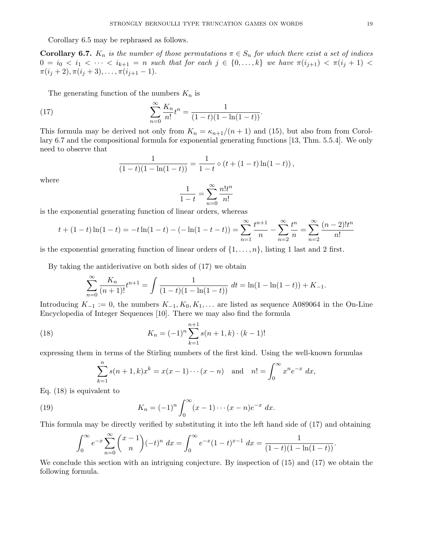Corollary 6.5 may be rephrased as follows.

**Corollary 6.7.**  $K_n$  is the number of those permutations  $\pi \in S_n$  for which there exist a set of indices  $0 = i_0 < i_1 < \cdots < i_{k+1} = n$  such that for each  $j \in \{0, \ldots, k\}$  we have  $\pi(i_{j+1}) < \pi(i_j + 1)$  $\pi(i_j+2), \pi(i_j+3), \ldots, \pi(i_{j+1}-1).$ 

The generating function of the numbers  $K_n$  is

(17) 
$$
\sum_{n=0}^{\infty} \frac{K_n}{n!} t^n = \frac{1}{(1-t)(1-\ln(1-t))}.
$$

This formula may be derived not only from  $K_n = \kappa_{n+1}/(n+1)$  and (15), but also from from Corollary 6.7 and the compositional formula for exponential generating functions [13, Thm. 5.5.4]. We only need to observe that

$$
\frac{1}{(1-t)(1-\ln(1-t))} = \frac{1}{1-t} \circ (t + (1-t)\ln(1-t)),
$$

where

$$
\frac{1}{1-t} = \sum_{n=0}^{\infty} \frac{n! t^n}{n!}
$$

is the exponential generating function of linear orders, whereas

$$
t + (1 - t)\ln(1 - t) = -t\ln(1 - t) - (-\ln(1 - t - t)) = \sum_{n=1}^{\infty} \frac{t^{n+1}}{n} - \sum_{n=2}^{\infty} \frac{t^n}{n} = \sum_{n=2}^{\infty} \frac{(n-2)!t^n}{n!}
$$

is the exponential generating function of linear orders of  $\{1, \ldots, n\}$ , listing 1 last and 2 first.

By taking the antiderivative on both sides of (17) we obtain

$$
\sum_{n=0}^{\infty} \frac{K_n}{(n+1)!} t^{n+1} = \int \frac{1}{(1-t)(1-\ln(1-t))} dt = \ln(1-\ln(1-t)) + K_{-1}.
$$

Introducing  $K_{-1} := 0$ , the numbers  $K_{-1}, K_0, K_1, \ldots$  are listed as sequence A089064 in the On-Line Encyclopedia of Integer Sequences [10]. There we may also find the formula

(18) 
$$
K_n = (-1)^n \sum_{k=1}^{n+1} s(n+1,k) \cdot (k-1)!
$$

expressing them in terms of the Stirling numbers of the first kind. Using the well-known formulas

$$
\sum_{k=1}^{n} s(n+1,k)x^{k} = x(x-1)\cdots(x-n) \text{ and } n! = \int_{0}^{\infty} x^{n}e^{-x} dx,
$$

Eq. (18) is equivalent to

(19) 
$$
K_n = (-1)^n \int_0^\infty (x-1) \cdots (x-n) e^{-x} dx.
$$

This formula may be directly verified by substituting it into the left hand side of (17) and obtaining

$$
\int_0^\infty e^{-x} \sum_{n=0}^\infty {x-1 \choose n} (-t)^n dx = \int_0^\infty e^{-x} (1-t)^{x-1} dx = \frac{1}{(1-t)(1-\ln(1-t))}.
$$

We conclude this section with an intriguing conjecture. By inspection of (15) and (17) we obtain the following formula.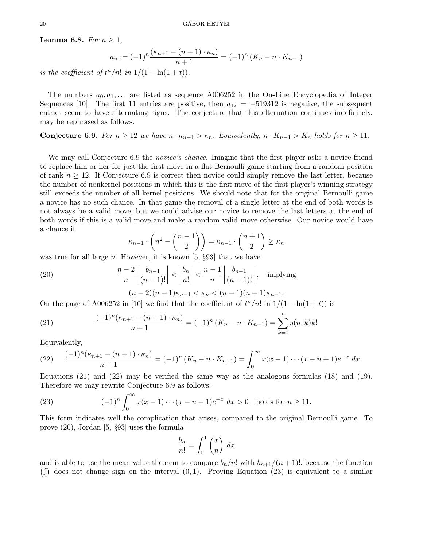**Lemma 6.8.** For  $n \geq 1$ ,

$$
a_n := (-1)^n \frac{(\kappa_{n+1} - (n+1) \cdot \kappa_n)}{n+1} = (-1)^n (K_n - n \cdot K_{n-1})
$$

is the coefficient of  $t^n/n!$  in  $1/(1 - \ln(1 + t)).$ 

The numbers  $a_0, a_1, \ldots$  are listed as sequence A006252 in the On-Line Encyclopedia of Integer Sequences [10]. The first 11 entries are positive, then  $a_{12} = -519312$  is negative, the subsequent entries seem to have alternating signs. The conjecture that this alternation continues indefinitely, may be rephrased as follows.

**Conjecture 6.9.** For  $n \ge 12$  we have  $n \cdot \kappa_{n-1} > \kappa_n$ . Equivalently,  $n \cdot K_{n-1} > K_n$  holds for  $n \ge 11$ .

We may call Conjecture 6.9 the *novice's chance*. Imagine that the first player asks a novice friend to replace him or her for just the first move in a flat Bernoulli game starting from a random position of rank  $n \geq 12$ . If Conjecture 6.9 is correct then novice could simply remove the last letter, because the number of nonkernel positions in which this is the first move of the first player's winning strategy still exceeds the number of all kernel positions. We should note that for the original Bernoulli game a novice has no such chance. In that game the removal of a single letter at the end of both words is not always be a valid move, but we could advise our novice to remove the last letters at the end of both words if this is a valid move and make a random valid move otherwise. Our novice would have a chance if

$$
\kappa_{n-1} \cdot \binom{n^2 - \binom{n-1}{2}}{n} = \kappa_{n-1} \cdot \binom{n+1}{2} \ge \kappa_n
$$

was true for all large *n*. However, it is known [5,  $\S 93$ ] that we have

(20) 
$$
\frac{n-2}{n} \left| \frac{b_{n-1}}{(n-1)!} \right| < \left| \frac{b_n}{n!} \right| < \frac{n-1}{n} \left| \frac{b_{n-1}}{(n-1)!} \right|, \text{ implying}
$$

$$
(n-2)(n+1)\kappa_{n-1} < \kappa_n < (n-1)(n+1)\kappa_{n-1}.
$$

On the page of A006252 in [10] we find that the coefficient of  $t^n/n!$  in  $1/(1 - \ln(1 + t))$  is

(21) 
$$
\frac{(-1)^n(\kappa_{n+1} - (n+1) \cdot \kappa_n)}{n+1} = (-1)^n (K_n - n \cdot K_{n-1}) = \sum_{k=0}^n s(n,k)k!
$$

Equivalently,

(22) 
$$
\frac{(-1)^n(\kappa_{n+1} - (n+1) \cdot \kappa_n)}{n+1} = (-1)^n (K_n - n \cdot K_{n-1}) = \int_0^\infty x(x-1) \cdots (x-n+1) e^{-x} dx.
$$

Equations (21) and (22) may be verified the same way as the analogous formulas (18) and (19). Therefore we may rewrite Conjecture 6.9 as follows:

(23) 
$$
(-1)^n \int_0^\infty x(x-1)\cdots(x-n+1)e^{-x} dx > 0 \text{ holds for } n \ge 11.
$$

This form indicates well the complication that arises, compared to the original Bernoulli game. To prove (20), Jordan [5, §93] uses the formula

$$
\frac{b_n}{n!} = \int_0^1 \binom{x}{n} \, dx
$$

and is able to use the mean value theorem to compare  $b_n/n!$  with  $b_{n+1}/(n+1)!$ , because the function  $\binom{x}{x}$  $\binom{x}{n}$  does not change sign on the interval  $(0, 1)$ . Proving Equation (23) is equivalent to a similar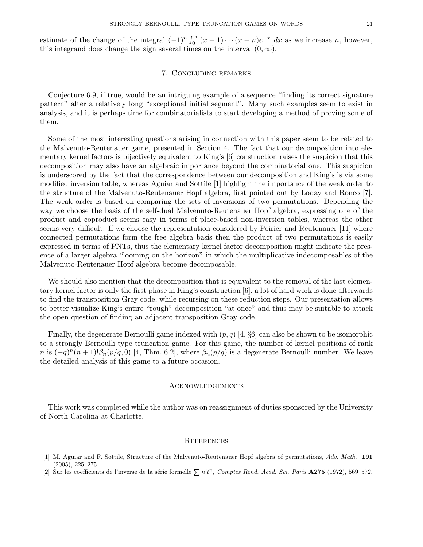estimate of the change of the integral  $(-1)^n \int_0^\infty (x-1) \cdots (x-n) e^{-x} dx$  as we increase n, however, this integrand does change the sign several times on the interval  $(0, \infty)$ .

# 7. Concluding remarks

Conjecture 6.9, if true, would be an intriguing example of a sequence "finding its correct signature pattern" after a relatively long "exceptional initial segment". Many such examples seem to exist in analysis, and it is perhaps time for combinatorialists to start developing a method of proving some of them.

Some of the most interesting questions arising in connection with this paper seem to be related to the Malvenuto-Reutenauer game, presented in Section 4. The fact that our decomposition into elementary kernel factors is bijectively equivalent to King's [6] construction raises the suspicion that this decomposition may also have an algebraic importance beyond the combinatorial one. This suspicion is underscored by the fact that the correspondence between our decomposition and King's is via some modified inversion table, whereas Aguiar and Sottile [1] highlight the importance of the weak order to the structure of the Malvenuto-Reutenauer Hopf algebra, first pointed out by Loday and Ronco [7]. The weak order is based on comparing the sets of inversions of two permutations. Depending the way we choose the basis of the self-dual Malvenuto-Reutenauer Hopf algebra, expressing one of the product and coproduct seems easy in terms of place-based non-inversion tables, whereas the other seems very difficult. If we choose the representation considered by Poirier and Reutenauer [11] where connected permutations form the free algebra basis then the product of two permutations is easily expressed in terms of PNTs, thus the elementary kernel factor decomposition might indicate the presence of a larger algebra "looming on the horizon" in which the multiplicative indecomposables of the Malvenuto-Reutenauer Hopf algebra become decomposable.

We should also mention that the decomposition that is equivalent to the removal of the last elementary kernel factor is only the first phase in King's construction [6], a lot of hard work is done afterwards to find the transposition Gray code, while recursing on these reduction steps. Our presentation allows to better visualize King's entire "rough" decomposition "at once" and thus may be suitable to attack the open question of finding an adjacent transposition Gray code.

Finally, the degenerate Bernoulli game indexed with  $(p, q)$  [4,  $\S6$ ] can also be shown to be isomorphic to a strongly Bernoulli type truncation game. For this game, the number of kernel positions of rank n is  $(-q)^n(n+1)!\beta_n(p/q,0)$  [4, Thm. 6.2], where  $\beta_n(p/q)$  is a degenerate Bernoulli number. We leave the detailed analysis of this game to a future occasion.

#### Acknowledgements

This work was completed while the author was on reassignment of duties sponsored by the University of North Carolina at Charlotte.

#### **REFERENCES**

- [1] M. Aguiar and F. Sottile, Structure of the Malvenuto-Reutenauer Hopf algebra of permutations, Adv. Math. 191 (2005), 225–275.
- [2] Sur les coefficients de l'inverse de la série formelle  $\sum n!t^n$ , Comptes Rend. Acad. Sci. Paris A275 (1972), 569-572.